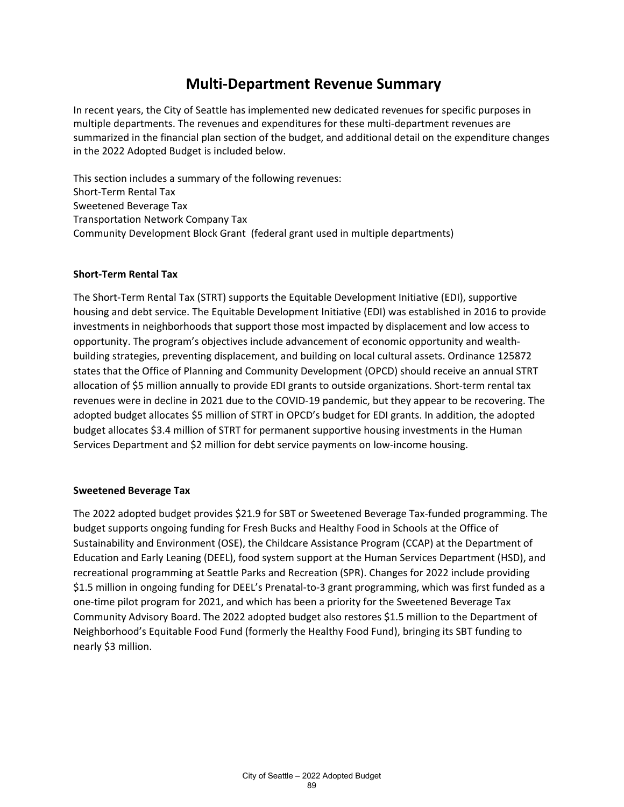## **Multi-Department Revenue Summary**

In recent years, the City of Seattle has implemented new dedicated revenues for specific purposes in multiple departments. The revenues and expenditures for these multi-department revenues are summarized in the financial plan section of the budget, and additional detail on the expenditure changes in the 2022 Adopted Budget is included below.

This section includes a summary of the following revenues: Short-Term Rental Tax Sweetened Beverage Tax Transportation Network Company Tax Community Development Block Grant (federal grant used in multiple departments)

### **Short-Term Rental Tax**

The Short-Term Rental Tax (STRT) supports the Equitable Development Initiative (EDI), supportive housing and debt service. The Equitable Development Initiative (EDI) was established in 2016 to provide investments in neighborhoods that support those most impacted by displacement and low access to opportunity. The program's objectives include advancement of economic opportunity and wealthbuilding strategies, preventing displacement, and building on local cultural assets. Ordinance 125872 states that the Office of Planning and Community Development (OPCD) should receive an annual STRT allocation of \$5 million annually to provide EDI grants to outside organizations. Short-term rental tax revenues were in decline in 2021 due to the COVID-19 pandemic, but they appear to be recovering. The adopted budget allocates \$5 million of STRT in OPCD's budget for EDI grants. In addition, the adopted budget allocates \$3.4 million of STRT for permanent supportive housing investments in the Human Services Department and \$2 million for debt service payments on low-income housing.

#### **Sweetened Beverage Tax**

The 2022 adopted budget provides \$21.9 for SBT or Sweetened Beverage Tax-funded programming. The budget supports ongoing funding for Fresh Bucks and Healthy Food in Schools at the Office of Sustainability and Environment (OSE), the Childcare Assistance Program (CCAP) at the Department of Education and Early Leaning (DEEL), food system support at the Human Services Department (HSD), and recreational programming at Seattle Parks and Recreation (SPR). Changes for 2022 include providing \$1.5 million in ongoing funding for DEEL's Prenatal-to-3 grant programming, which was first funded as a one-time pilot program for 2021, and which has been a priority for the Sweetened Beverage Tax Community Advisory Board. The 2022 adopted budget also restores \$1.5 million to the Department of Neighborhood's Equitable Food Fund (formerly the Healthy Food Fund), bringing its SBT funding to nearly \$3 million.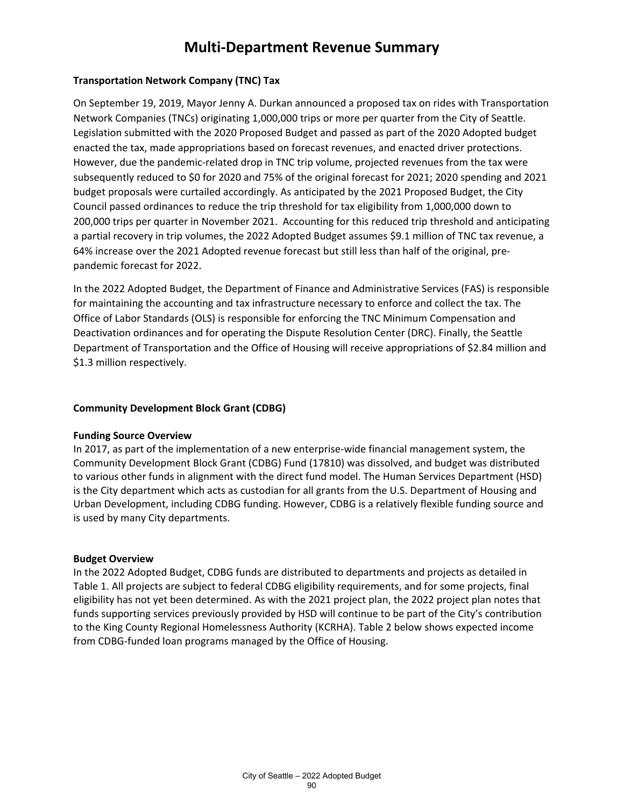## **Multi-Department Revenue Summary**

### **Transportation Network Company (TNC) Tax**

On September 19, 2019, Mayor Jenny A. Durkan announced a proposed tax on rides with Transportation Network Companies (TNCs) originating 1,000,000 trips or more per quarter from the City of Seattle. Legislation submitted with the 2020 Proposed Budget and passed as part of the 2020 Adopted budget enacted the tax, made appropriations based on forecast revenues, and enacted driver protections. However, due the pandemic-related drop in TNC trip volume, projected revenues from the tax were subsequently reduced to \$0 for 2020 and 75% of the original forecast for 2021; 2020 spending and 2021 budget proposals were curtailed accordingly. As anticipated by the 2021 Proposed Budget, the City Council passed ordinances to reduce the trip threshold for tax eligibility from 1,000,000 down to 200,000 trips per quarter in November 2021. Accounting for this reduced trip threshold and anticipating a partial recovery in trip volumes, the 2022 Adopted Budget assumes \$9.1 million of TNC tax revenue, a 64% increase over the 2021 Adopted revenue forecast but still less than half of the original, prepandemic forecast for 2022.

In the 2022 Adopted Budget, the Department of Finance and Administrative Services (FAS) is responsible for maintaining the accounting and tax infrastructure necessary to enforce and collect the tax. The Office of Labor Standards (OLS) is responsible for enforcing the TNC Minimum Compensation and Deactivation ordinances and for operating the Dispute Resolution Center (DRC). Finally, the Seattle Department of Transportation and the Office of Housing will receive appropriations of \$2.84 million and \$1.3 million respectively.

#### **Community Development Block Grant (CDBG)**

#### **Funding Source Overview**

In 2017, as part of the implementation of a new enterprise-wide financial management system, the Community Development Block Grant (CDBG) Fund (17810) was dissolved, and budget was distributed to various other funds in alignment with the direct fund model. The Human Services Department (HSD) is the City department which acts as custodian for all grants from the U.S. Department of Housing and Urban Development, including CDBG funding. However, CDBG is a relatively flexible funding source and is used by many City departments.

#### **Budget Overview**

In the 2022 Adopted Budget, CDBG funds are distributed to departments and projects as detailed in Table 1. All projects are subject to federal CDBG eligibility requirements, and for some projects, final eligibility has not yet been determined. As with the 2021 project plan, the 2022 project plan notes that funds supporting services previously provided by HSD will continue to be part of the City's contribution to the King County Regional Homelessness Authority (KCRHA). Table 2 below shows expected income from CDBG-funded loan programs managed by the Office of Housing.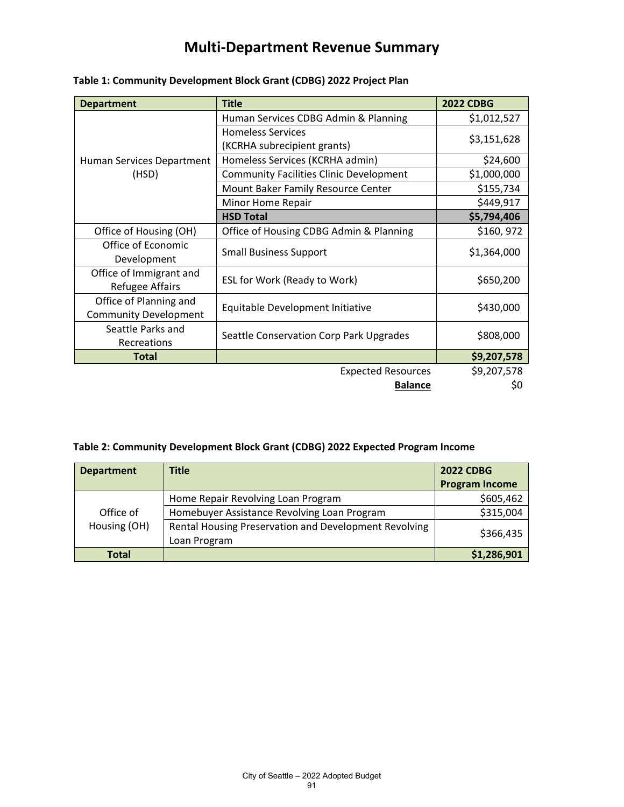# **Multi-Department Revenue Summary**

| <b>Department</b>                  | <b>Title</b>                                            | <b>2022 CDBG</b>                        |
|------------------------------------|---------------------------------------------------------|-----------------------------------------|
| Human Services Department<br>(HSD) | Human Services CDBG Admin & Planning                    | \$1,012,527                             |
|                                    | <b>Homeless Services</b><br>(KCRHA subrecipient grants) | \$3,151,628                             |
|                                    |                                                         |                                         |
|                                    | <b>Community Facilities Clinic Development</b>          | \$1,000,000                             |
|                                    | Mount Baker Family Resource Center                      | \$155,734                               |
|                                    | Minor Home Repair                                       | \$449,917                               |
|                                    | <b>HSD Total</b>                                        | \$5,794,406                             |
|                                    | Office of Housing (OH)                                  | Office of Housing CDBG Admin & Planning |
| Office of Economic                 | <b>Small Business Support</b>                           | \$1,364,000                             |
| Development                        |                                                         |                                         |
| Office of Immigrant and            | ESL for Work (Ready to Work)                            | \$650,200                               |
| <b>Refugee Affairs</b>             |                                                         |                                         |
| Office of Planning and             | Equitable Development Initiative                        | \$430,000                               |
| <b>Community Development</b>       |                                                         |                                         |
| Seattle Parks and                  | Seattle Conservation Corp Park Upgrades                 | \$808,000                               |
| Recreations                        |                                                         |                                         |
| <b>Total</b>                       |                                                         | \$9,207,578                             |
|                                    | <b>Expected Resources</b>                               | \$9,207,578                             |
|                                    | <b>Balance</b>                                          | Ş0                                      |

### **Table 1: Community Development Block Grant (CDBG) 2022 Project Plan**

### **Table 2: Community Development Block Grant (CDBG) 2022 Expected Program Income**

| <b>Department</b>         | <b>Title</b>                                                          | <b>2022 CDBG</b>      |
|---------------------------|-----------------------------------------------------------------------|-----------------------|
|                           |                                                                       | <b>Program Income</b> |
| Office of<br>Housing (OH) | Home Repair Revolving Loan Program                                    | \$605,462             |
|                           | Homebuyer Assistance Revolving Loan Program                           | \$315,004             |
|                           | Rental Housing Preservation and Development Revolving<br>Loan Program | \$366,435             |
| <b>Total</b>              |                                                                       | \$1,286,901           |